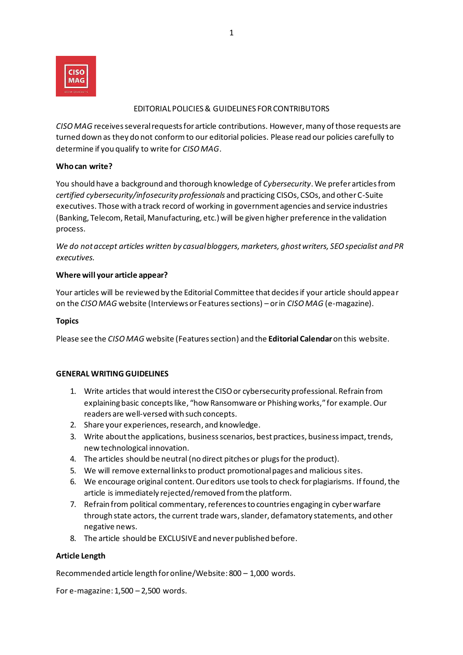

## EDITORIAL POLICIES& GUIDELINES FOR CONTRIBUTORS

*CISO MAG* receives several requests for article contributions. However, many of those requests are turned down as they do not conformto our editorial policies. Please read our policies carefully to determine if you qualify to write for *CISO MAG*.

#### **Who can write?**

You should have a background and thorough knowledge of *Cybersecurity*. We prefer articles from *certified cybersecurity/infosecurity professionals* and practicing CISOs, CSOs, and other C-Suite executives. Those with a track record of working in government agencies and service industries (Banking, Telecom, Retail, Manufacturing, etc.) will be given higher preference in the validation process.

*We do not accept articles written by casual bloggers, marketers, ghost writers, SEO specialist and PR executives.* 

### **Where will your article appear?**

Your articles will be reviewed by the Editorial Committee that decides if your article should appear on the *CISO MAG* website (Interviews or Features sections) – or in *CISO MAG* (e-magazine).

#### **Topics**

Please see the *CISO MAG* website (Features section) and the **Editorial Calendar**on this website.

# **GENERAL WRITING GUIDELINES**

- 1. Write articles that would interest the CISO or cybersecurity professional. Refrain from explaining basic concepts like, "how Ransomware or Phishing works," for example. Our readers are well-versed with such concepts.
- 2. Share your experiences, research, and knowledge.
- 3. Write about the applications, business scenarios, best practices, business impact, trends, new technological innovation.
- 4. The articles should be neutral (no direct pitches or plugs for the product).
- 5. We will remove external links to product promotional pages and malicious sites.
- 6. We encourage original content. Our editors use tools to check for plagiarisms. If found, the article is immediately rejected/removed from the platform.
- 7. Refrain from political commentary, references to countries engaging in cyber warfare through state actors, the current trade wars, slander, defamatory statements, and other negative news.
- 8. The article should be EXCLUSIVE and never published before.

# **Article Length**

Recommended article length for online/Website: 800 – 1,000 words.

For e-magazine: 1,500 – 2,500 words.